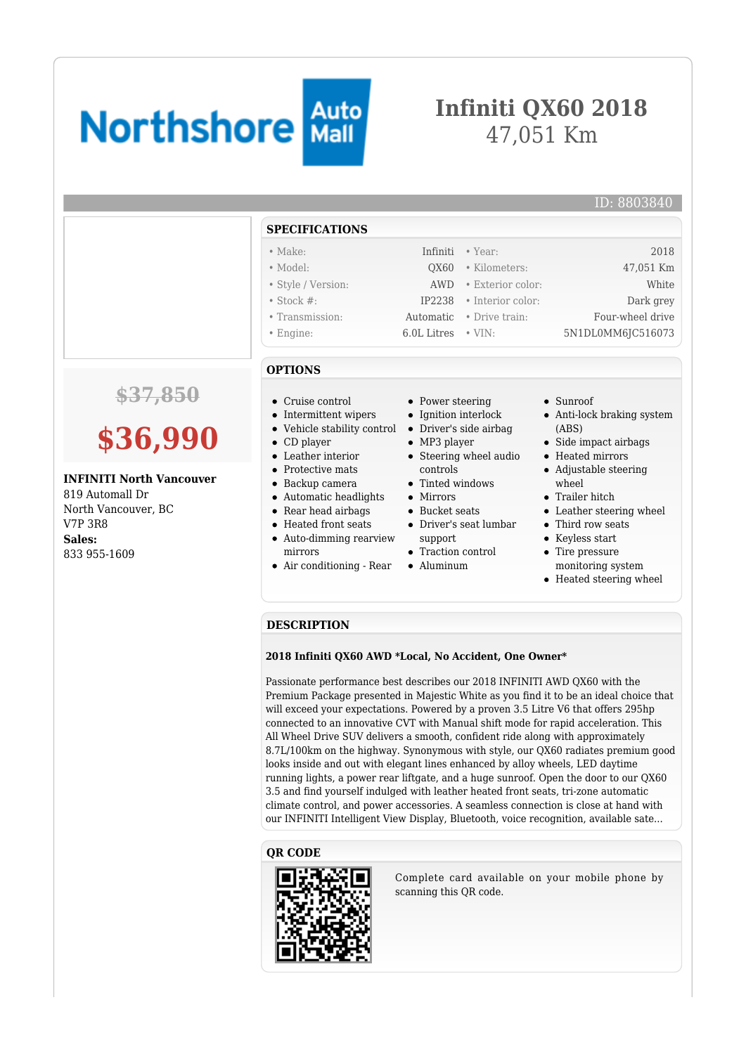# **Northshore Mail**

## **Infiniti QX60 2018** 47,051 Km

#### ID: 8803840

#### **SPECIFICATIONS**

| $\bullet$ Make:    |                            | Infiniti • Year:         | 2018              |
|--------------------|----------------------------|--------------------------|-------------------|
| $\bullet$ Model:   |                            | OX60 • Kilometers:       | 47,051 Km         |
| • Style / Version: |                            | AWD • Exterior color:    | White             |
| $\bullet$ Stock #: |                            | IP2238 • Interior color: | Dark grey         |
| • Transmission:    |                            | Automatic • Drive train: | Four-wheel drive  |
| $\bullet$ Engine:  | $6.0L$ Litres $\cdot$ VIN: |                          | 5N1DL0MM6JC516073 |

# **\$37,850**

# **\$36,990**

#### **INFINITI North Vancouver**

819 Automall Dr North Vancouver, BC V7P 3R8 **Sales:** 833 955-1609

- **OPTIONS**
- Cruise control
- Intermittent wipers
- Vehicle stability control Driver's side airbag
- CD player
- Leather interior
- Protective mats
- Backup camera
- Automatic headlights
- Rear head airbags
- Heated front seats
- Auto-dimming rearview mirrors
- Air conditioning Rear
- Power steering
- Ignition interlock
- 
- MP3 player
- Steering wheel audio controls
- Tinted windows
- Mirrors
- Bucket seats
- Driver's seat lumbar
- support
- Traction control
- Aluminum
- Sunroof
- Anti-lock braking system (ABS)
- Side impact airbags
- Heated mirrors
- Adjustable steering wheel
- Trailer hitch
- Leather steering wheel
- Third row seats
- Keyless start
- Tire pressure monitoring system
- Heated steering wheel

#### **DESCRIPTION**

#### **2018 Infiniti QX60 AWD \*Local, No Accident, One Owner\***

Passionate performance best describes our 2018 INFINITI AWD QX60 with the Premium Package presented in Majestic White as you find it to be an ideal choice that will exceed your expectations. Powered by a proven 3.5 Litre V6 that offers 295hp connected to an innovative CVT with Manual shift mode for rapid acceleration. This All Wheel Drive SUV delivers a smooth, confident ride along with approximately 8.7L/100km on the highway. Synonymous with style, our QX60 radiates premium good looks inside and out with elegant lines enhanced by alloy wheels, LED daytime running lights, a power rear liftgate, and a huge sunroof. Open the door to our QX60 3.5 and find yourself indulged with leather heated front seats, tri-zone automatic climate control, and power accessories. A seamless connection is close at hand with our INFINITI Intelligent View Display, Bluetooth, voice recognition, available sate...

#### **QR CODE**



Complete card available on your mobile phone by scanning this QR code.